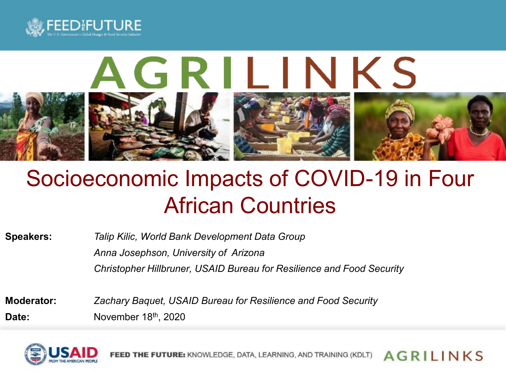<span id="page-0-0"></span>



## Socioeconomic Impacts of COVID-19 in Four African Countries

| <b>Speakers:</b> | Talip Kilic, World Bank Development Data Group                        |
|------------------|-----------------------------------------------------------------------|
|                  | Anna Josephson, University of Arizona                                 |
|                  | Christopher Hillbruner, USAID Bureau for Resilience and Food Security |

**Moderator:** *Zachary Baquet, USAID Bureau for Resilience and Food Security* Date: November 18<sup>th</sup>, 2020



**AGRILINKS** FEED THE FUTURE: KNOWLEDGE, DATA, LEARNING, AND TRAINING (KDLT)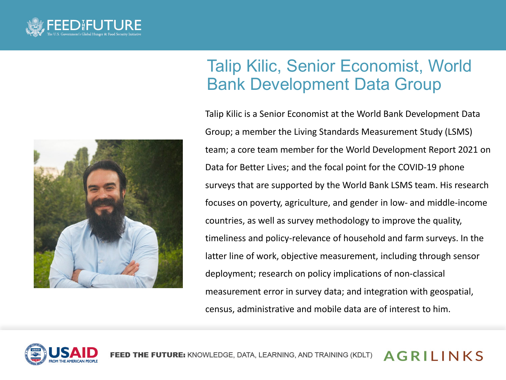



## Talip Kilic, Senior Economist, World Bank Development Data Group

Talip Kilic is a Senior Economist at the World Bank Development Data Group; a member the Living Standards Measurement Study (LSMS) team; a core team member for the World Development Report 2021 on Data for Better Lives; and the focal point for the COVID-19 phone surveys that are supported by the World Bank LSMS team. His research focuses on poverty, agriculture, and gender in low- and middle-income countries, as well as survey methodology to improve the quality, timeliness and policy-relevance of household and farm surveys. In the latter line of work, objective measurement, including through sensor deployment; research on policy implications of non-classical measurement error in survey data; and integration with geospatial, census, administrative and mobile data are of interest to him.



**AGRILINKS** E FUTURE: KNOWLEDGE, DATA, LEARNING, AND TRAINING (KDLT)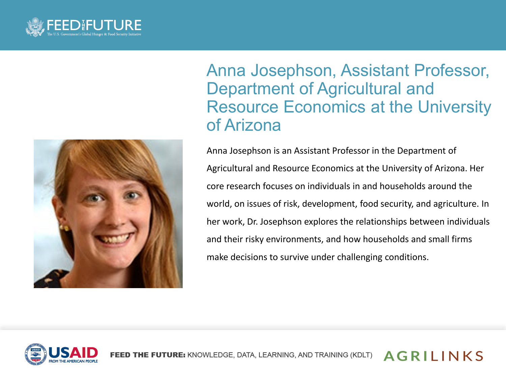



Anna Josephson, Assistant Professor, Department of Agricultural and Resource Economics at the University of Arizona

Anna Josephson is an Assistant Professor in the Department of Agricultural and Resource Economics at the University of Arizona. Her core research focuses on individuals in and households around the world, on issues of risk, development, food security, and agriculture. In her work, Dr. Josephson explores the relationships between individuals and their risky environments, and how households and small firms make decisions to survive under challenging conditions.



FEED THE FUTURE: KNOWLEDGE, DATA, LEARNING, AND TRAINING (KDLT) **AGRILINKS**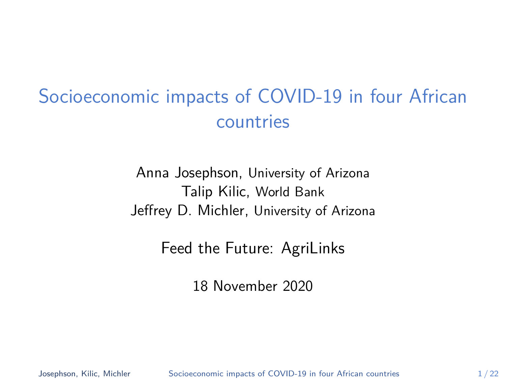## <span id="page-3-0"></span>Socioeconomic impacts of COVID-19 in four African countries

Anna Josephson, University of Arizona Talip Kilic, World Bank Jeffrey D. Michler, University of Arizona

Feed the Future: AgriLinks

18 November 2020

Josephson, Kilic, Michler [Socioeconomic impacts of COVID-19 in four African countries](#page-34-0) 1/22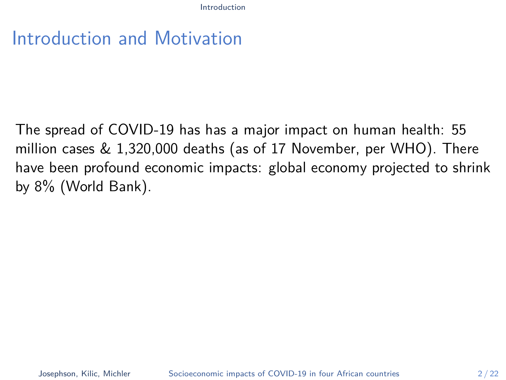<span id="page-4-0"></span>The spread of COVID-19 has has a major impact on human health: 55 million cases & 1,320,000 deaths (as of 17 November, per WHO). There have been profound economic impacts: global economy projected to shrink by 8% (World Bank).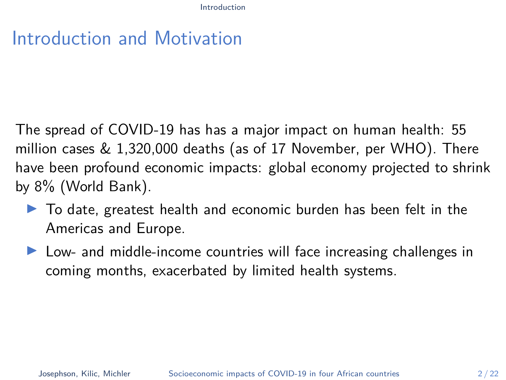The spread of COVID-19 has has a major impact on human health: 55 million cases & 1,320,000 deaths (as of 17 November, per WHO). There have been profound economic impacts: global economy projected to shrink by 8% (World Bank).

- $\blacktriangleright$  To date, greatest health and economic burden has been felt in the Americas and Europe.
- $\triangleright$  Low- and middle-income countries will face increasing challenges in coming months, exacerbated by limited health systems.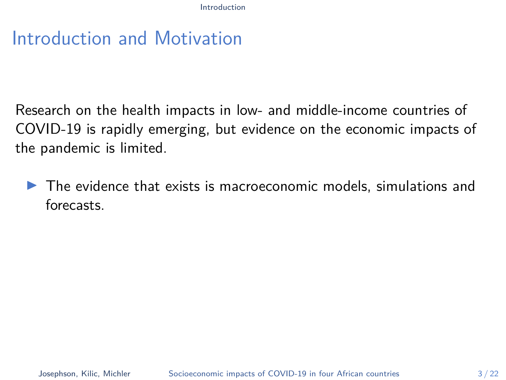Research on the health impacts in low- and middle-income countries of COVID-19 is rapidly emerging, but evidence on the economic impacts of the pandemic is limited.

 $\blacktriangleright$  The evidence that exists is macroeconomic models, simulations and forecasts.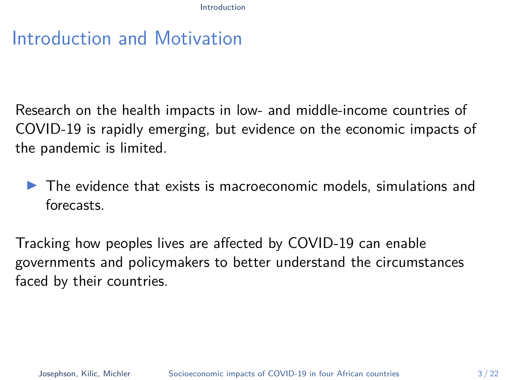Research on the health impacts in low- and middle-income countries of COVID-19 is rapidly emerging, but evidence on the economic impacts of the pandemic is limited.

 $\blacktriangleright$  The evidence that exists is macroeconomic models, simulations and forecasts.

Tracking how peoples lives are affected by COVID-19 can enable governments and policymakers to better understand the circumstances faced by their countries.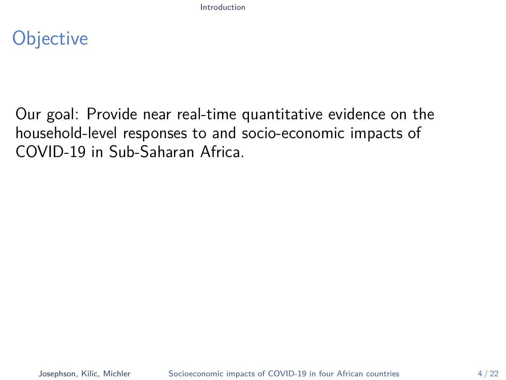## **Objective**

Our goal: Provide near real-time quantitative evidence on the household-level responses to and socio-economic impacts of COVID-19 in Sub-Saharan Africa.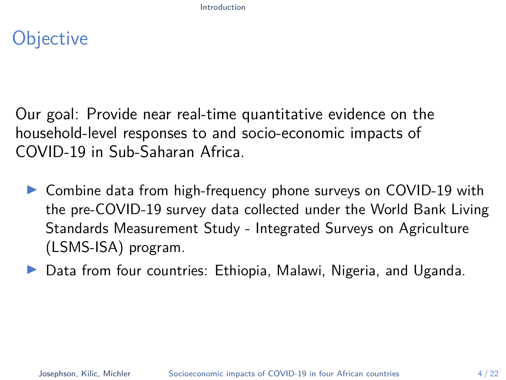## **Objective**

Our goal: Provide near real-time quantitative evidence on the household-level responses to and socio-economic impacts of COVID-19 in Sub-Saharan Africa.

- ▶ Combine data from high-frequency phone surveys on COVID-19 with the pre-COVID-19 survey data collected under the World Bank Living Standards Measurement Study - Integrated Surveys on Agriculture (LSMS-ISA) program.
- **I** Data from four countries: Ethiopia, Malawi, Nigeria, and Uganda.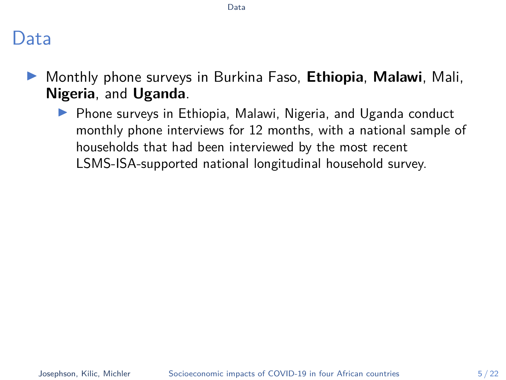## <span id="page-10-0"></span>Data

- I Monthly phone surveys in Burkina Faso, **Ethiopia**, **Malawi**, Mali, **Nigeria**, and **Uganda**.
	- $\triangleright$  Phone surveys in Ethiopia, Malawi, Nigeria, and Uganda conduct monthly phone interviews for 12 months, with a national sample of households that had been interviewed by the most recent LSMS-ISA-supported national longitudinal household survey.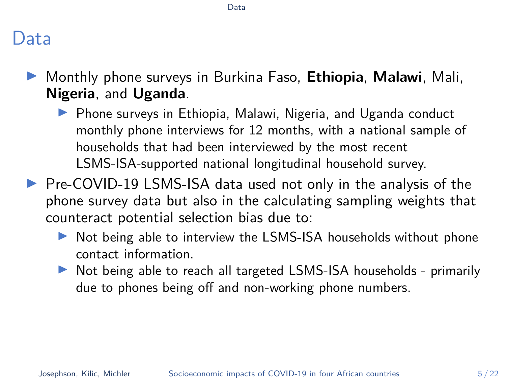#### [Data](#page-10-0)

### Data

- **Monthly phone surveys in Burkina Faso, Ethiopia, Malawi, Mali, Nigeria**, and **Uganda**.
	- $\triangleright$  Phone surveys in Ethiopia, Malawi, Nigeria, and Uganda conduct monthly phone interviews for 12 months, with a national sample of households that had been interviewed by the most recent LSMS-ISA-supported national longitudinal household survey.
- $\triangleright$  Pre-COVID-19 LSMS-ISA data used not only in the analysis of the phone survey data but also in the calculating sampling weights that counteract potential selection bias due to:
	- In Not being able to interview the LSMS-ISA households without phone contact information.
	- In Not being able to reach all targeted LSMS-ISA households primarily due to phones being off and non-working phone numbers.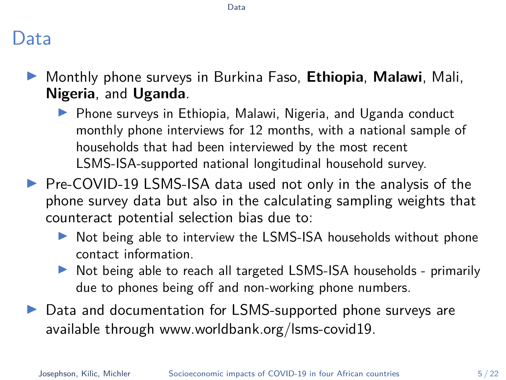#### [Data](#page-10-0)

## Data

- **Monthly phone surveys in Burkina Faso, Ethiopia, Malawi, Mali, Nigeria**, and **Uganda**.
	- $\triangleright$  Phone surveys in Ethiopia, Malawi, Nigeria, and Uganda conduct monthly phone interviews for 12 months, with a national sample of households that had been interviewed by the most recent LSMS-ISA-supported national longitudinal household survey.
- ▶ Pre-COVID-19 LSMS-ISA data used not only in the analysis of the phone survey data but also in the calculating sampling weights that counteract potential selection bias due to:
	- In Not being able to interview the LSMS-ISA households without phone contact information.
	- ▶ Not being able to reach all targeted LSMS-ISA households primarily due to phones being off and non-working phone numbers.
- ▶ Data and documentation for LSMS-supported phone surveys are available through [www.worldbank.org/lsms-covid19.](#page-0-0)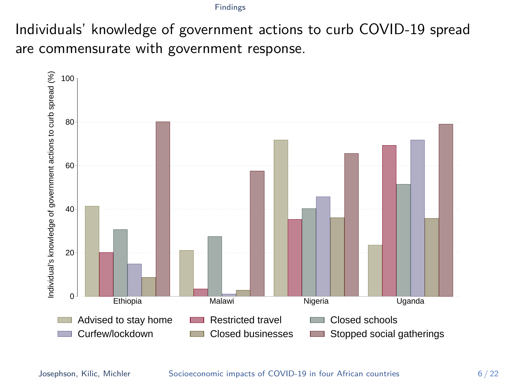<span id="page-13-0"></span>Individuals' knowledge of government actions to curb COVID-19 spread are commensurate with government response.

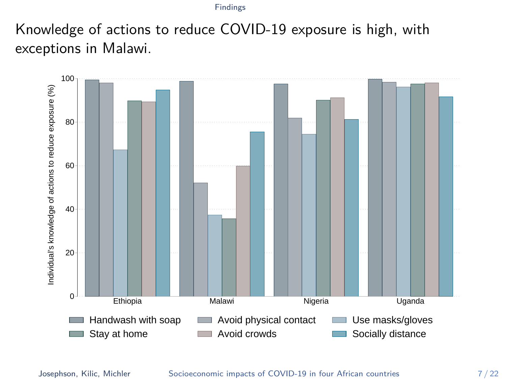Knowledge of actions to reduce COVID-19 exposure is high, with exceptions in Malawi.

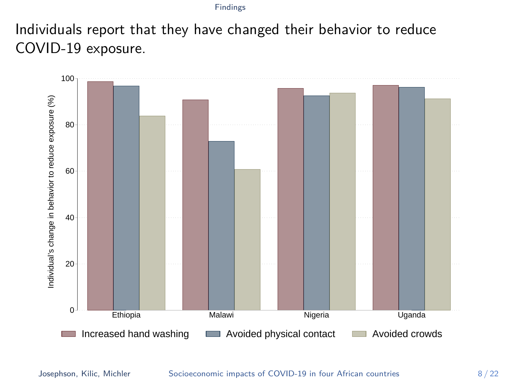Individuals report that they have changed their behavior to reduce COVID-19 exposure.

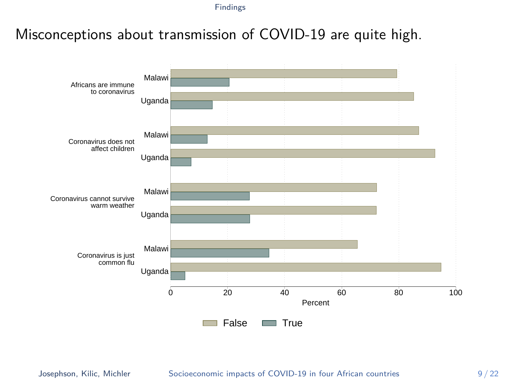### Misconceptions about transmission of COVID-19 are quite high.



#### Josephson, Kilic, Michler [Socioeconomic impacts of COVID-19 in four African countries](#page-3-0) 9/22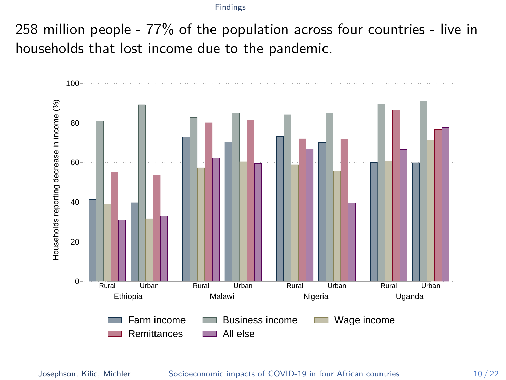258 million people - 77% of the population across four countries - live in households that lost income due to the pandemic.

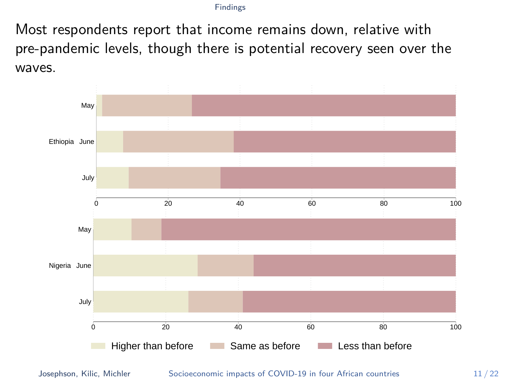Most respondents report that income remains down, relative with pre-pandemic levels, though there is potential recovery seen over the waves.



Josephson, Kilic, Michler [Socioeconomic impacts of COVID-19 in four African countries](#page-3-0) 11/22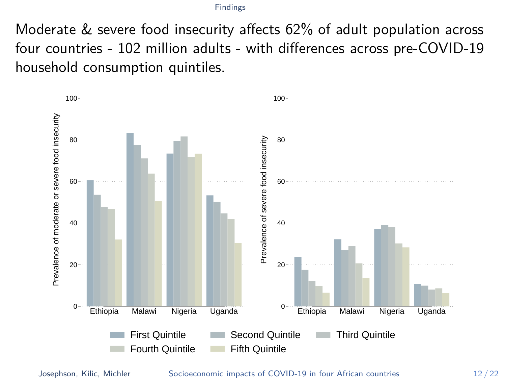Moderate & severe food insecurity affects 62% of adult population across four countries - 102 million adults - with differences across pre-COVID-19 household consumption quintiles.



Josephson, Kilic, Michler [Socioeconomic impacts of COVID-19 in four African countries](#page-3-0) 12 / 22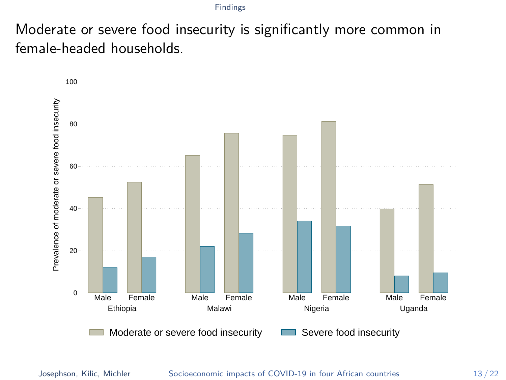Moderate or severe food insecurity is significantly more common in female-headed households.



Josephson, Kilic, Michler [Socioeconomic impacts of COVID-19 in four African countries](#page-3-0) 13 / 22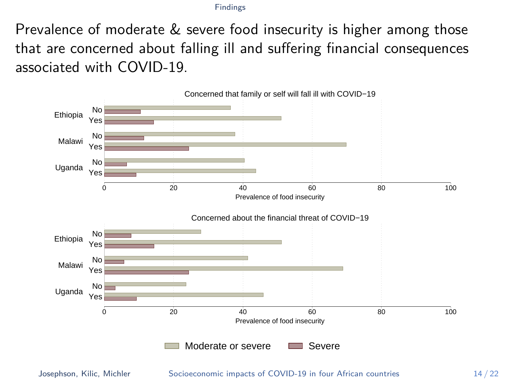Prevalence of moderate & severe food insecurity is higher among those that are concerned about falling ill and suffering financial consequences associated with COVID-19.



Josephson, Kilic, Michler [Socioeconomic impacts of COVID-19 in four African countries](#page-3-0) 14 / 22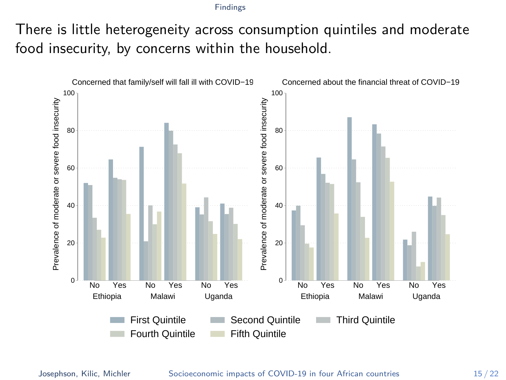There is little heterogeneity across consumption quintiles and moderate food insecurity, by concerns within the household.

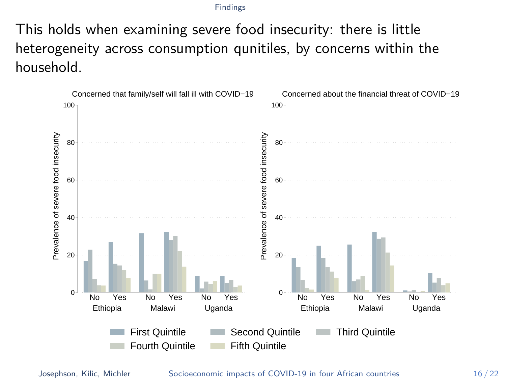This holds when examining severe food insecurity: there is little heterogeneity across consumption qunitiles, by concerns within the household.



Josephson, Kilic, Michler [Socioeconomic impacts of COVID-19 in four African countries](#page-3-0) 16 / 22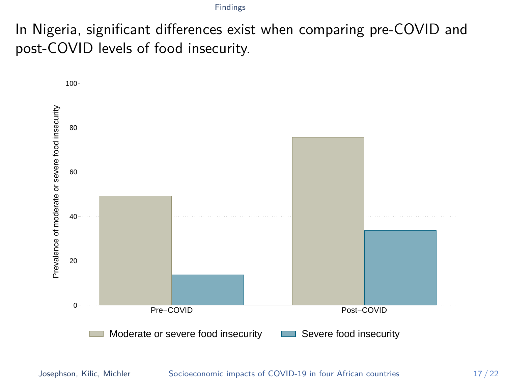In Nigeria, significant differences exist when comparing pre-COVID and post-COVID levels of food insecurity.



Josephson, Kilic, Michler [Socioeconomic impacts of COVID-19 in four African countries](#page-3-0) 17 / 22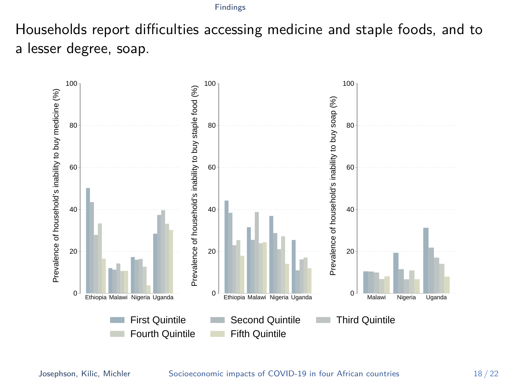Households report difficulties accessing medicine and staple foods, and to a lesser degree, soap.

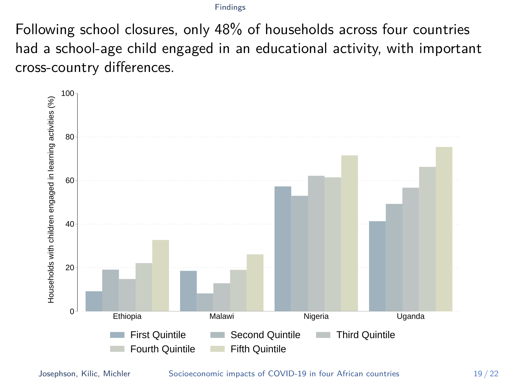Following school closures, only 48% of households across four countries had a school-age child engaged in an educational activity, with important cross-country differences.



Josephson, Kilic, Michler [Socioeconomic impacts of COVID-19 in four African countries](#page-3-0) 19 / 22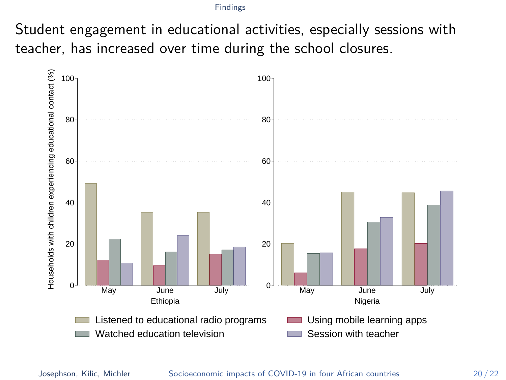Student engagement in educational activities, especially sessions with teacher, has increased over time during the school closures.

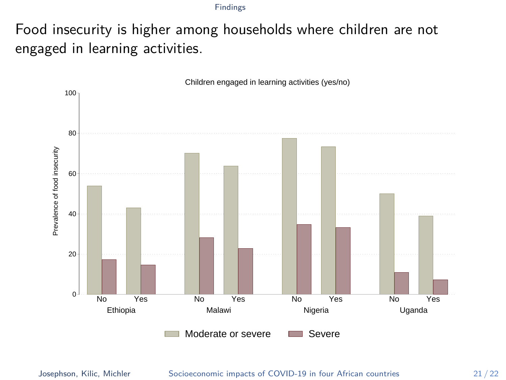Food insecurity is higher among households where children are not engaged in learning activities.

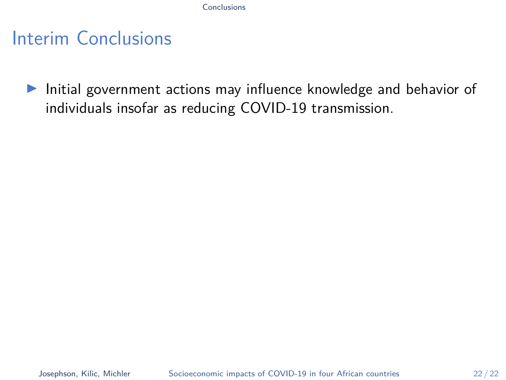## <span id="page-29-0"></span>Interim Conclusions

Initial government actions may influence knowledge and behavior of individuals insofar as reducing COVID-19 transmission.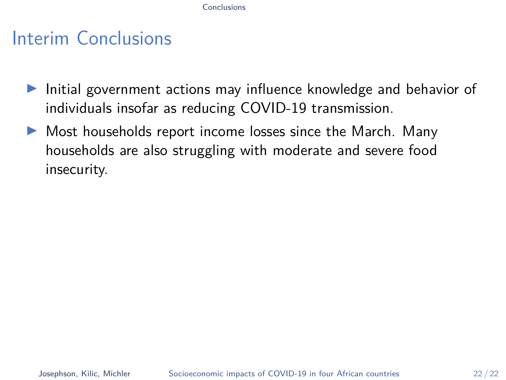- $\blacktriangleright$  Initial government actions may influence knowledge and behavior of individuals insofar as reducing COVID-19 transmission.
- $\triangleright$  Most households report income losses since the March. Many households are also struggling with moderate and severe food insecurity.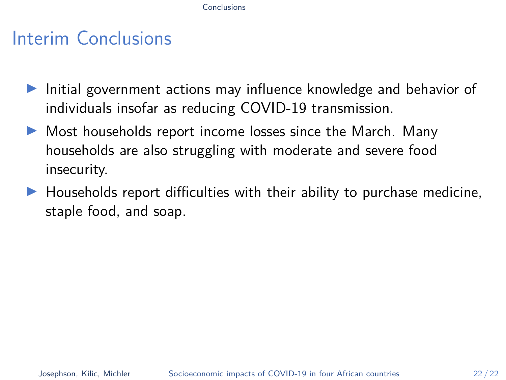- $\blacktriangleright$  Initial government actions may influence knowledge and behavior of individuals insofar as reducing COVID-19 transmission.
- $\triangleright$  Most households report income losses since the March. Many households are also struggling with moderate and severe food insecurity.
- $\blacktriangleright$  Households report difficulties with their ability to purchase medicine, staple food, and soap.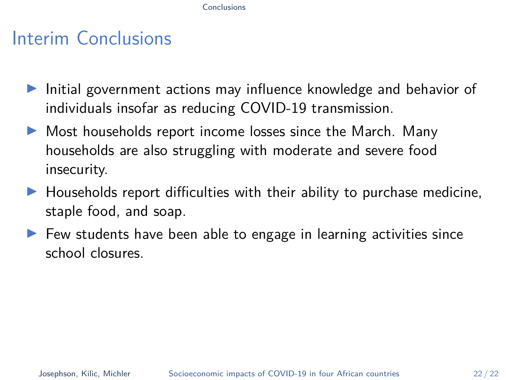- $\blacktriangleright$  Initial government actions may influence knowledge and behavior of individuals insofar as reducing COVID-19 transmission.
- $\triangleright$  Most households report income losses since the March. Many households are also struggling with moderate and severe food insecurity.
- $\blacktriangleright$  Households report difficulties with their ability to purchase medicine, staple food, and soap.
- $\blacktriangleright$  Few students have been able to engage in learning activities since school closures.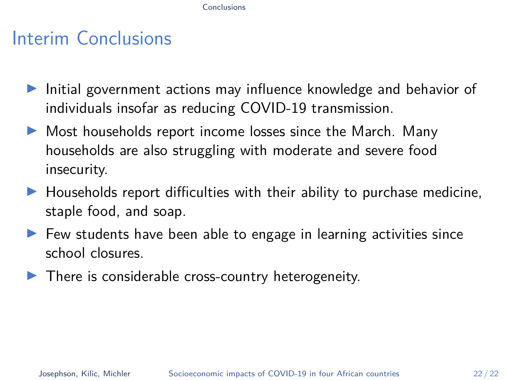- $\blacktriangleright$  Initial government actions may influence knowledge and behavior of individuals insofar as reducing COVID-19 transmission.
- $\triangleright$  Most households report income losses since the March. Many households are also struggling with moderate and severe food insecurity.
- $\blacktriangleright$  Households report difficulties with their ability to purchase medicine, staple food, and soap.
- $\blacktriangleright$  Few students have been able to engage in learning activities since school closures.
- $\blacktriangleright$  There is considerable cross-country heterogeneity.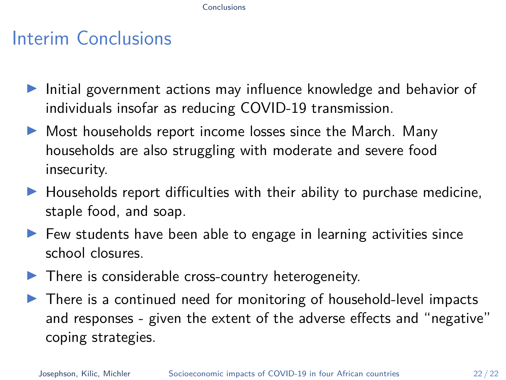- <span id="page-34-0"></span> $\blacktriangleright$  Initial government actions may influence knowledge and behavior of individuals insofar as reducing COVID-19 transmission.
- $\triangleright$  Most households report income losses since the March. Many households are also struggling with moderate and severe food insecurity.
- $\blacktriangleright$  Households report difficulties with their ability to purchase medicine, staple food, and soap.
- $\blacktriangleright$  Few students have been able to engage in learning activities since school closures.
- $\blacktriangleright$  There is considerable cross-country heterogeneity.
- $\blacktriangleright$  There is a continued need for monitoring of household-level impacts and responses - given the extent of the adverse effects and "negative" coping strategies.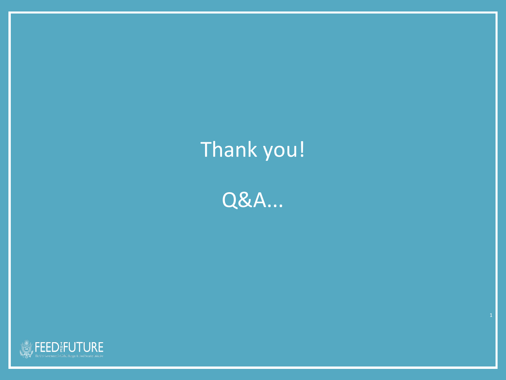# Thank you!

Q&A...